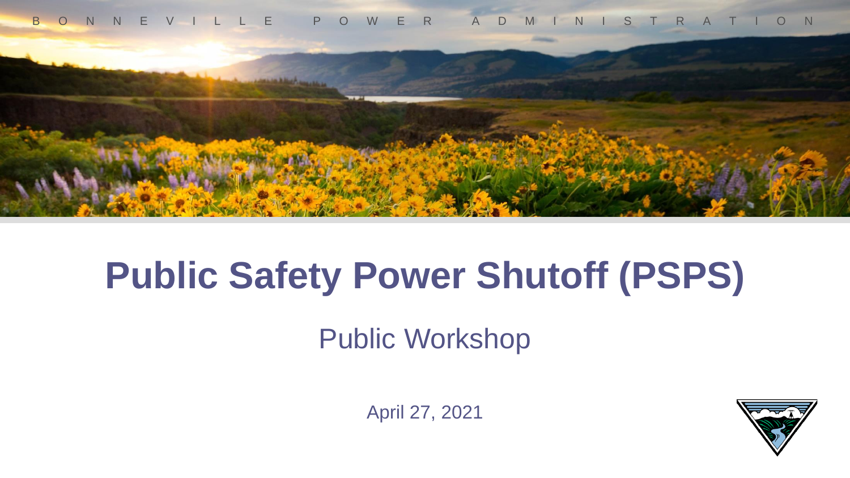



#### **Public Safety Power Shutoff (PSPS)**

Public Workshop

April 27, 2021

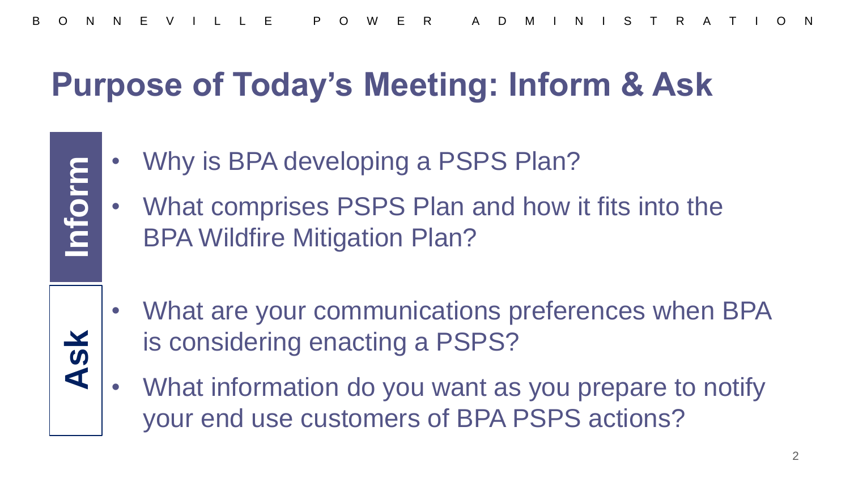#### **Purpose of Today's Meeting: Inform & Ask**

Why is BPA developing a PSPS Plan?

**Inform**

**Ask**

- What comprises PSPS Plan and how it fits into the BPA Wildfire Mitigation Plan?
- What are your communications preferences when BPA is considering enacting a PSPS?
- What information do you want as you prepare to notify your end use customers of BPA PSPS actions?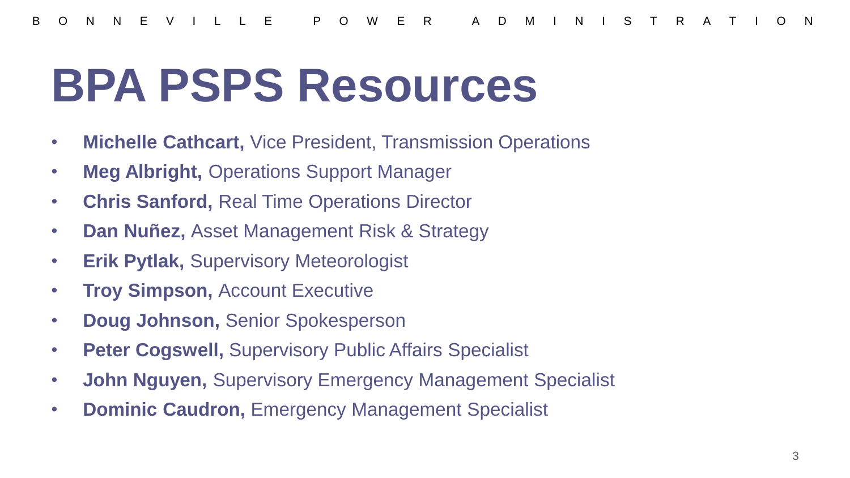#### **BPA PSPS Resources**

- **Michelle Cathcart,** Vice President, Transmission Operations
- **Meg Albright,** Operations Support Manager
- **Chris Sanford,** Real Time Operations Director
- **Dan Nuñez,** Asset Management Risk & Strategy
- **Erik Pytlak,** Supervisory Meteorologist
- **Troy Simpson,** Account Executive
- **Doug Johnson,** Senior Spokesperson
- **Peter Cogswell,** Supervisory Public Affairs Specialist
- **John Nguyen,** Supervisory Emergency Management Specialist
- **Dominic Caudron,** Emergency Management Specialist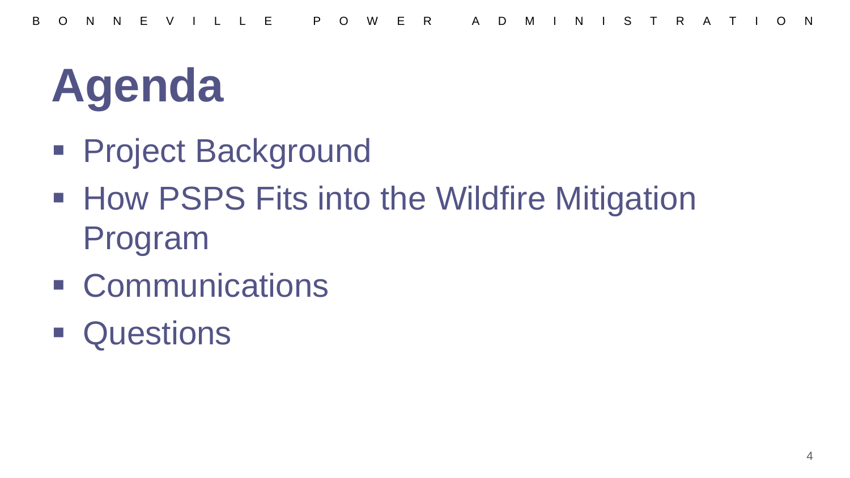## **Agenda**

- **Project Background**
- How PSPS Fits into the Wildfire Mitigation Program
- **EXCOMMUNICATIONS**
- **Questions**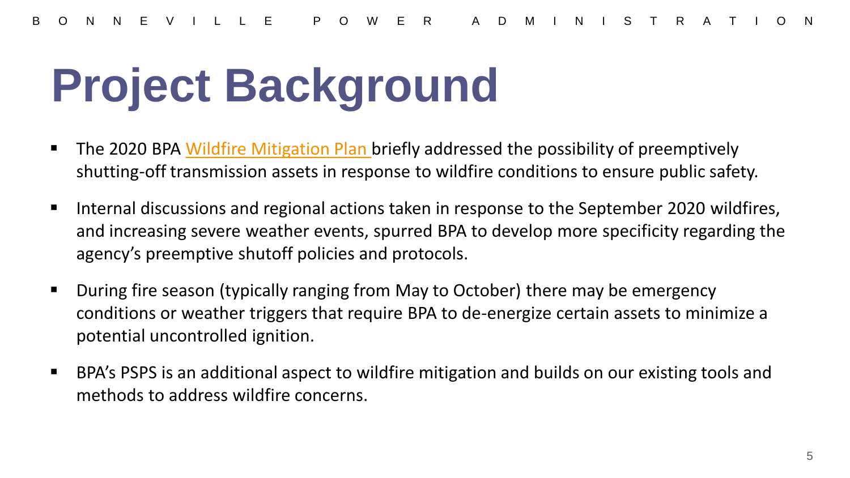## **Project Background**

- **The 2020 BPA [Wildfire Mitigation Plan b](https://www.bpa.gov/PublicInvolvement/Wildfire-Mitigation/Pages/Wildfire-Mitigation.aspx)riefly addressed the possibility of preemptively** shutting-off transmission assets in response to wildfire conditions to ensure public safety.
- Internal discussions and regional actions taken in response to the September 2020 wildfires, and increasing severe weather events, spurred BPA to develop more specificity regarding the agency's preemptive shutoff policies and protocols.
- During fire season (typically ranging from May to October) there may be emergency conditions or weather triggers that require BPA to de-energize certain assets to minimize a potential uncontrolled ignition.
- BPA's PSPS is an additional aspect to wildfire mitigation and builds on our existing tools and methods to address wildfire concerns.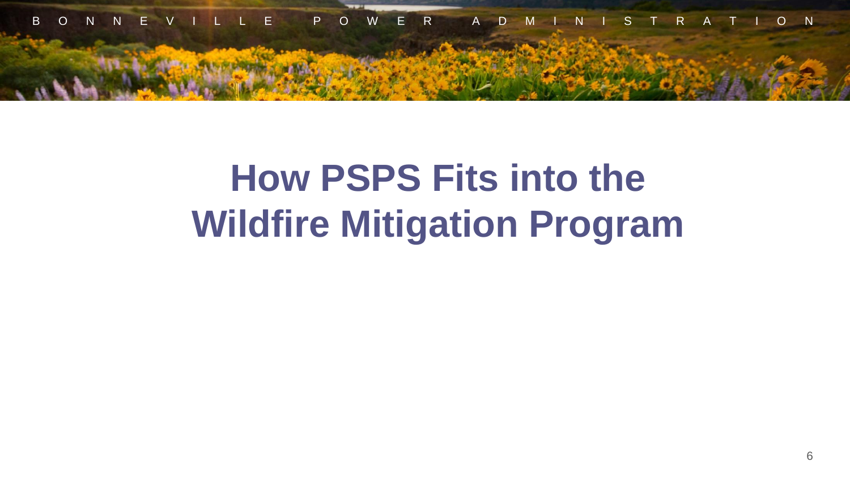

#### **How PSPS Fits into the Wildfire Mitigation Program**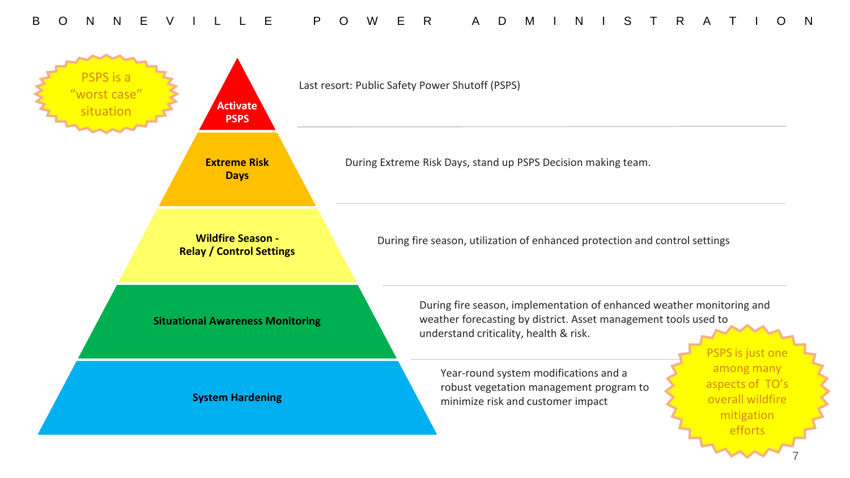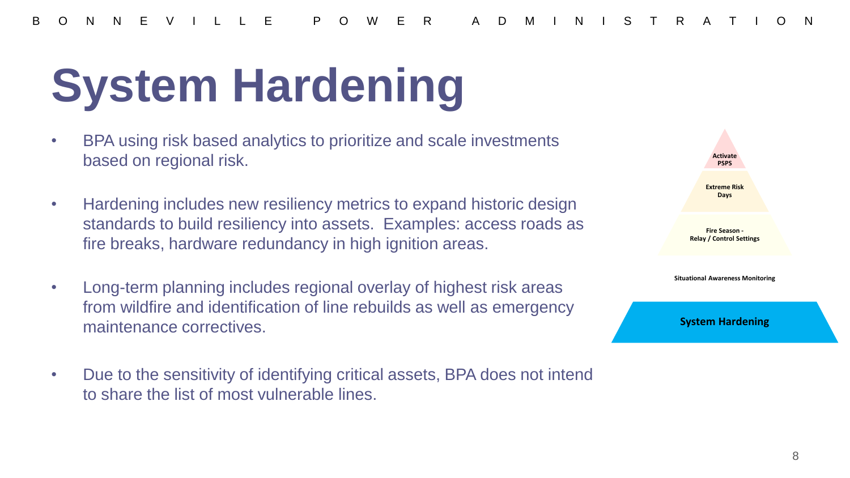# **System Hardening**

- BPA using risk based analytics to prioritize and scale investments based on regional risk.
- Hardening includes new resiliency metrics to expand historic design standards to build resiliency into assets. Examples: access roads as fire breaks, hardware redundancy in high ignition areas.
- Long-term planning includes regional overlay of highest risk areas from wildfire and identification of line rebuilds as well as emergency maintenance correctives.
- Due to the sensitivity of identifying critical assets, BPA does not intend to share the list of most vulnerable lines.

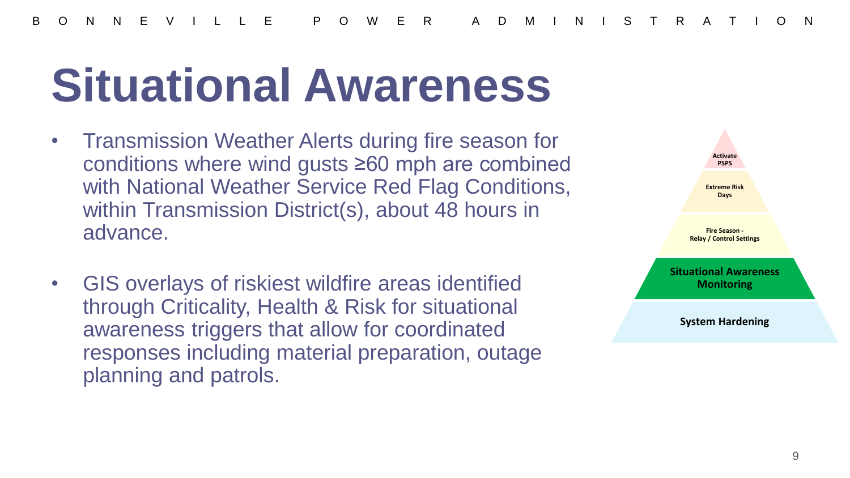#### **Situational Awareness**

- Transmission Weather Alerts during fire season for conditions where wind gusts ≥60 mph are combined with National Weather Service Red Flag Conditions, within Transmission District(s), about 48 hours in advance.
- GIS overlays of riskiest wildfire areas identified through Criticality, Health & Risk for situational awareness triggers that allow for coordinated responses including material preparation, outage planning and patrols.

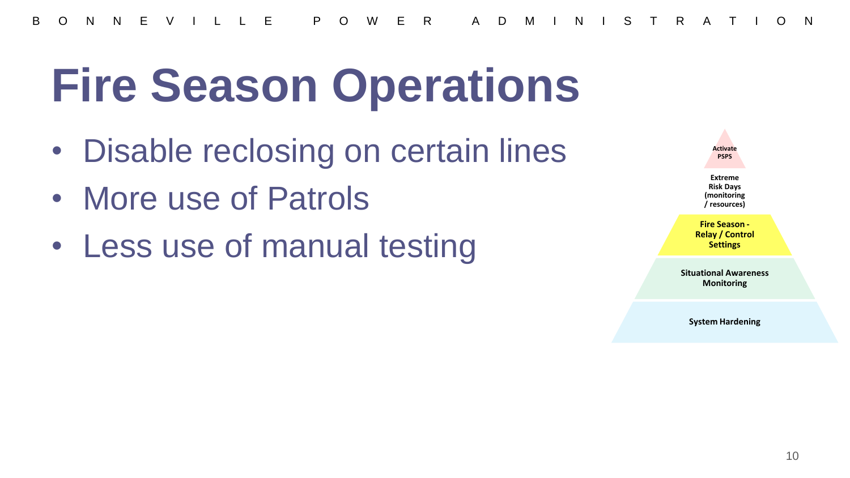### **Fire Season Operations**

- Disable reclosing on certain lines
- More use of Patrols
- Less use of manual testing

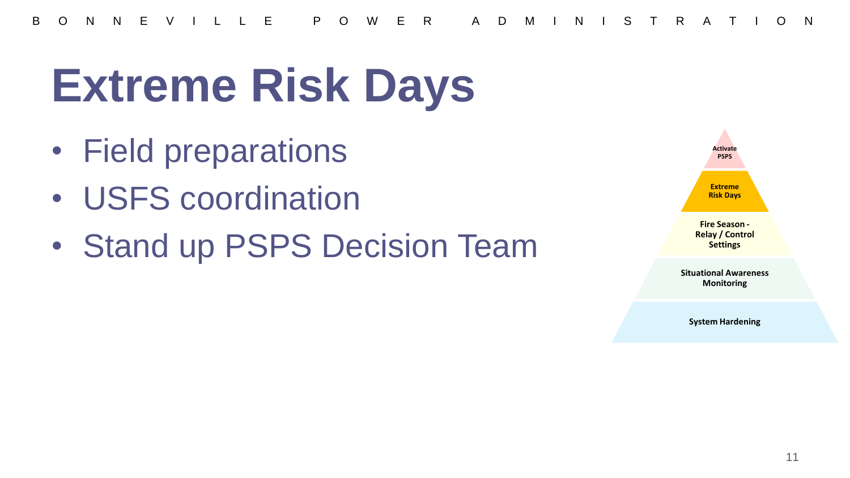B O N N E V I L L E P O W E R A D M I N I S T R A T I O N

## **Extreme Risk Days**

- Field preparations
- USFS coordination
- Stand up PSPS Decision Team

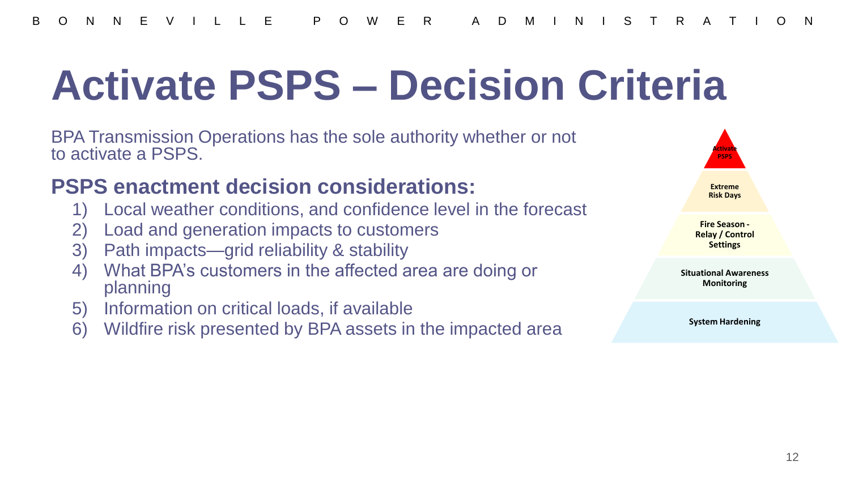#### **Activate PSPS – Decision Criteria**

BPA Transmission Operations has the sole authority whether or not to activate a PSPS.

#### **PSPS enactment decision considerations:**

- 1) Local weather conditions, and confidence level in the forecast
- 2) Load and generation impacts to customers
- 3) Path impacts—grid reliability & stability
- 4) What BPA's customers in the affected area are doing or planning
- 5) Information on critical loads, if available
- 6) Wildfire risk presented by BPA assets in the impacted area

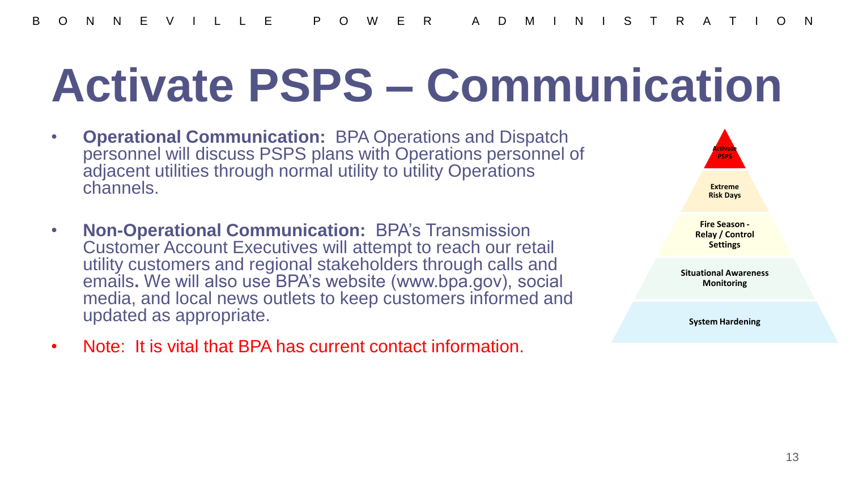#### **Activate PSPS – Communication**

- **Operational Communication:** BPA Operations and Dispatch personnel will discuss PSPS plans with Operations personnel of adjacent utilities through normal utility to utility Operations channels.
- **Non-Operational Communication:** BPA's Transmission Customer Account Executives will attempt to reach our retail utility customers and regional stakeholders through calls and emails**.** We will also use BPA's website (www.bpa.gov), social media, and local news outlets to keep customers informed and updated as appropriate.
- Note: It is vital that BPA has current contact information.

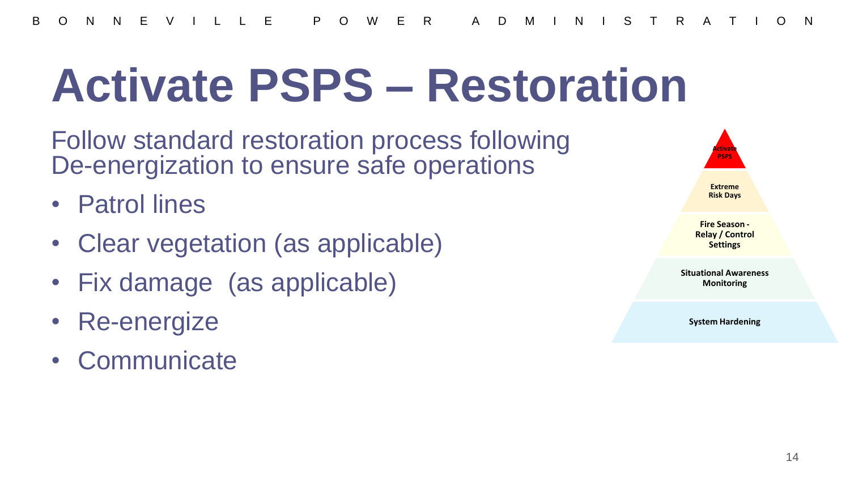#### **Activate PSPS – Restoration**

Follow standard restoration process following De-energization to ensure safe operations

- Patrol lines
- Clear vegetation (as applicable)
- Fix damage (as applicable)
- Re-energize
- **Communicate**

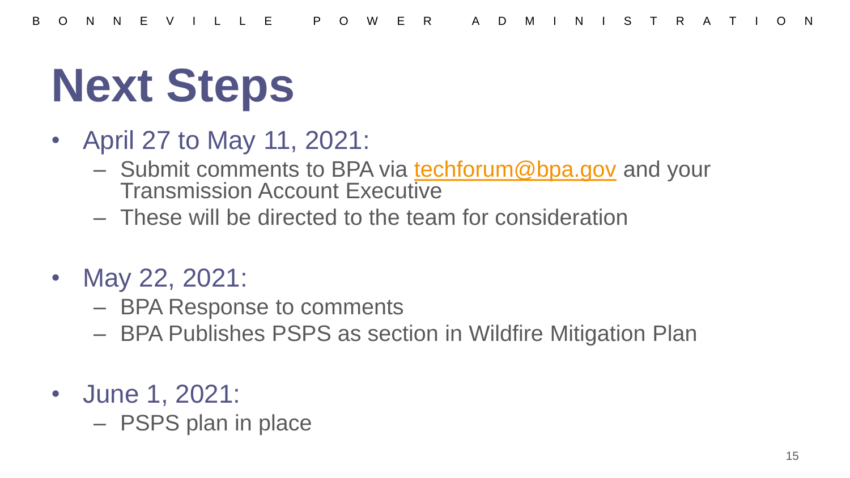# **Next Steps**

- April 27 to May 11, 2021:
	- Submit comments to BPA via [techforum@bpa.gov](mailto:techforum@bpa.gov) and your Transmission Account Executive
	- These will be directed to the team for consideration
- May 22, 2021:
	- BPA Response to comments
	- BPA Publishes PSPS as section in Wildfire Mitigation Plan
- June 1, 2021:
	- PSPS plan in place